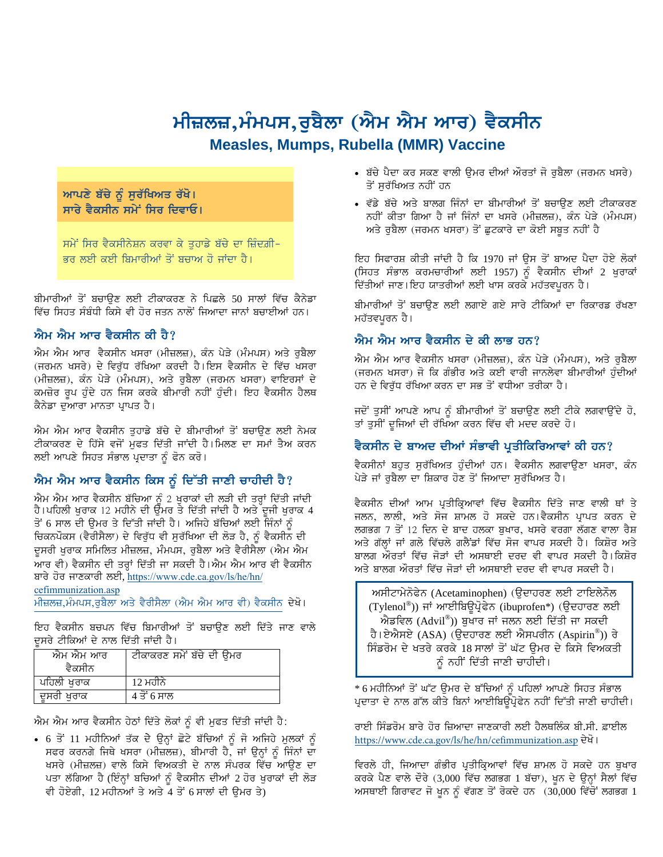# ਮੀਜ਼ਲਜ਼,ਮੰਮਪਸ,ਰੁਬੈਲਾ (ਐਮ ਐਮ ਆਰ) ਵੈਕਸੀਨ **Measles, Mumps, Rubella (MMR) Vaccine**

# ਆਪਣੇ ਬੱਚੇ ਨੂੰ ਸੁਰੱਖਿਅਤ ਰੱਖੋ। ਸਾਰੇ ਵੈਕਸੀਨ ਸਮੇਂ ਸਿਰ ਦਿਵਾਓ।

ਸਮੇਂ ਸਿਰ ਵੈਕਸੀਨੇਸ਼ਨ ਕਰਵਾ ਕੇ ਤੁਹਾਡੇ ਬੱਚੇ ਦਾ ਜ਼ਿੰਦਗ਼ੀ-ਭਰ ਲਈ ਕਈ ਬਿਮਾਰੀਆਂ ਤੋਂ ਬਚਾਅ ਹੋ ਜਾਂਦਾ ਹੈ।

ਬੀਮਾਰੀਆਂ ਤੋਂ ਬਚਾਉਣ ਲਈ ਟੀਕਾਕਰਣ ਨੇ ਪਿਛਲੇ 50 ਸਾਲਾਂ ਵਿੱਚ ਕੈਨੇਡਾ ਵਿੱਚ ਸਿਹਤ ਸੰਬੰਧੀ ਕਿਸੇ ਵੀ ਹੋਰ ਜਤਨ ਨਾਲੋਂ ਜਿਆਦਾ ਜਾਨਾਂ ਬਚਾਈਆਂ ਹਨ।

#### ਐਮ ਐਮ ਆਰ ਵੈਕਸੀਨ ਕੀ ਹੈ?

ਐਮ ਐਮ ਆਰ ਵੈਕਸੀਨ ਖਸਰਾ (ਮੀਜ਼ਲਜ਼), ਕੰਨ ਪੇੜੇ (ਮੰਮਪਸ) ਅਤੇ ਰਬੈਲਾ (ਜਰਮਨ ਖਸਰੇ) ਦੇ ਵਿਰੁੱਧ ਰੱਖਿਆ ਕਰਦੀ ਹੈ।ਇਸ ਵੈਕਸੀਨ ਦੇ ਵਿੱਚ ਖਸਰਾ (ਮੀਜ਼ਲਜ਼), ਕੰਨ ਪੇੜੇ (ਮੰਮਪਸ), ਅਤੇ ਰਬੈਲਾ (ਜਰਮਨ ਖਸਰਾ) ਵਾਇਰਸਾਂ ਦੇ ਕਮਜ਼ੋਰ ਰੂਪ ਹੁੰਦੇ ਹਨ ਜਿਸ ਕਰਕੇ ਬੀਮਾਰੀ ਨਹੀਂ ਹੁੰਦੀ। ਇਹ ਵੈਕਸੀਨ ਹੈਲਥ ਕੈਨੇਡਾ ਦੁਆਰਾ ਮਾਨਤਾ ਪ੍ਰਾਪਤ ਹੈ।

ਐਮ ਐਮ ਆਰ ਵੈਕਸੀਨ ਤੁਹਾਡੇ ਬੱਚੇ ਦੇ ਬੀਮਾਰੀਆਂ ਤੋਂ ਬਚਾਉਣ ਲਈ ਨੇਮਕ ਟੀਕਾਕਰਣ ਦੇ ਹਿੱਸੇ ਵਜੋਂ ਮੁਫਤ ਦਿੱਤੀ ਜਾਂਦੀ ਹੈ।ਮਿਲਣ ਦਾ ਸਮਾਂ ਤੈਅ ਕਰਨ ਲਈ ਆਪਣੇ ਸਿਹਤ ਸੰਭਾਲ ਪ੍ਰਦਾਤਾ ਨੂੰ ਫੋਨ ਕਰੋ।

# ਐਮ ਐਮ ਆਰ ਵੈਕਸੀਨ ਕਿਸ ਨੂੰ ਦਿੱਤੀ ਜਾਣੀ ਚਾਹੀਦੀ ਹੈ?

ਐਮ ਐਮ ਆਰ ਵੈਕਸੀਨ ਬੱਚਿਆ ਨੂੰ 2 ਖੁਰਾਕਾਂ ਦੀ ਲੜੀ ਦੀ ਤਰ੍ਹਾਂ ਦਿੱਤੀ ਜਾਂਦੀ<br>ਹੈ।ਪਹਿਲੀ ਖੁਰਾਕ 12 ਮਹੀਨੇ ਦੀ ਉਮਰ ਤੇ ਦਿੱਤੀ ਜਾਂਦੀ ਹੈ ਅਤੇ ਦੂਜੀ ਖੁਰਾਕ 4 ਤੋਂ 6 ਸਾਲ ਦੀ ਉਮਰ ਤੇ ਦਿੱਤੀ ਜਾਂਦੀ ਹੈ। ਅਜਿਹੇ ਬੱਚਿਆਂ ਲਈ ਜਿੰਨਾਂ ਨੂੰ ਚਿਕਨਪੌਕਸ (ਵੈਰੀਸੈਲਾ) ਦੇ ਵਿਰੁੱਧ ਵੀ ਸੁਰੱਖਿਆ ਦੀ ਲੋੜ ਹੈ, ਨੂੰ ਵੈਕਸੀਨ ਦੀ ਦਸਰੀ ਖਰਾਕ ਸਮਿਲਿਤ ਮੀਜ਼ਲਜ਼, ਮੰਮਪਸ, ਰਬੈਲਾ ਅਤੇ ਵੈਰੀਸੈਲਾ (ਐਮ ਐਮ ਆਰ ਵੀ) ਵੈਕਸੀਨ ਦੀ ਤਰ੍ਹਾਂ ਦਿੱਤੀ ਜਾ ਸਕਦੀ ਹੈ।ਐਮ ਐਮ ਆਰ ਵੀ ਵੈਕਸੀਨ ਬਾਰੇ ਹੋਰ ਜਾਣਕਾਰੀ ਲਈ, https://www.cde.ca.gov/ls/he/hn/

cefimmunization.asp ਮੀਜ਼ਲਜ਼,ਮੰਮਪਸ,ਰਬੈਲਾ ਅਤੇ ਵੈਰੀਸੈਲਾ (ਐਮ ਐਮ ਆਰ ਵੀ) ਵੈਕਸੀਨ ਦੇਖੋ।

ਇਹ ਵੈਕਸੀਨ ਬਚਪਨ ਵਿੱਚ ਬਿਮਾਰੀਆਂ ਤੋਂ ਬਚਾਉਣ ਲਈ ਦਿੱਤੇ ਜਾਣ ਵਾਲੇ ਦੂਸਰੇ ਟੀਕਿਆਂ ਦੇ ਨਾਲ ਦਿੱਤੀ ਜਾਂਦੀ ਹੈ।

| ਐਮ ਐਮ ਆਰ<br>ਵੈਕਸੀਨ | ਟੀਕਾਕਰਣ ਸਮੇਂ ਬੱਚੇ ਦੀ ੳਮਰ |
|--------------------|--------------------------|
| ਪਹਿਲੀ ਖਰਾਕ         | 12 ਮਹੀਨੇ                 |
| ਦਸਰੀ ਖਰਾਕ          | 4 ਤੋਂ 6 ਸਾਲ              |

ਐਮ ਐਮ ਆਰ ਵੈਕਸੀਨ ਹੇਠਾਂ ਦਿੱਤੇ ਲੋਕਾਂ ਨੂੰ ਵੀ ਮੁਫਤ ਦਿੱਤੀ ਜਾਂਦੀ ਹੈ:

• 6 ਤੋਂ 11 ਮਹੀਨਿਆਂ ਤੱਕ ਦੇ ਉਨ੍ਹਾਂ ਛੋਟੇ ਬੱਚਿਆਂ ਨੂੰ ਜੋ ਅਜਿਹੇ ਮਲਕਾਂ ਨੂੰ ਸਫਰ ਕਰਨਗੇ ਜਿਥੇ ਖਸਰਾ (ਮੀਜ਼ਲਜ਼), ਬੀਮਾਰੀ ਹੈ, ਜਾਂ ਉਨ੍ਹਾਂ ਨੂੰ ਜਿੰਨਾਂ ਦਾ ਖਸਰੇ (ਮੀਜ਼ਲਜ਼) ਵਾਲੇ ਕਿਸੇ ਵਿਅਕਤੀ ਦੇ ਨਾਲ ਸੰਪਰਕ ਵਿੱਚ ਆਉਣ ਦਾ ਪਤਾ ਲੱਗਿਆ ਹੈ (ਇੰਨ੍ਹਾਂ ਬਚਿਆਂ ਨੂੰ ਵੈਕਸੀਨ ਦੀਆਂ 2 ਹੋਰ ਖੁਰਾਕਾਂ ਦੀ ਲੋੜ ਵੀ ਹੋਏਗੀ, 12 ਮਹੀਨਆਂ ਤੇ ਅਤੇ 4 ਤੋਂ 6 ਸਾਲਾਂ ਦੀ ਉਮਰ ਤੇ)

- ਬੱਚੇ ਪੈਦਾ ਕਰ ਸਕਣ ਵਾਲੀ ਉਮਰ ਦੀਆਂ ਔਰਤਾਂ ਜੋ ਰੁਬੈਲਾ (ਜਰਮਨ ਖਸਰੇ) ਤੋਂ ਸਰੱਖਿਅਤ ਨਹੀਂ ਹਨ
- ਵੱਡੇ ਬੱਚੇ ਅਤੇ ਬਾਲਗ ਜਿੰਨਾਂ ਦਾ ਬੀਮਾਰੀਆਂ ਤੋਂ ਬਚਾਉਣ ਲਈ ਟੀਕਾਕਰਣ ਨਹੀਂ ਕੀਤਾ ਗਿਆ ਹੈ ਜਾਂ ਜਿੰਨਾਂ ਦਾ ਖਸਰੇ (ਮੀਜ਼ਲਜ਼), ਕੰਨ ਪੇੜੇ (ਮੰਮਪਸ) ਅਤੇ ਰਬੈਲਾ (ਜਰਮਨ ਖਸਰਾ) ਤੋਂ ਛੁਟਕਾਰੇ ਦਾ ਕੋਈ ਸਬੂਤ ਨਹੀਂ ਹੈ

ਇਹ ਸਿਫਾਰਸ਼ ਕੀਤੀ ਜਾਂਦੀ ਹੈ ਕਿ 1970 ਜਾਂ ਉਸ ਤੋਂ ਬਾਅਦ ਪੈਦਾ ਹੋਏ ਲੋਕਾਂ (ਸਿਹਤ ਸੰਭਾਲ ਕਰਮਚਾਰੀਆਂ ਲਈ 1957) ਨੂੰ ਵੈਕਸੀਨ ਦੀਆਂ 2 ਖੁਰਾਕਾਂ ਦਿੱਤੀਆਂ ਜਾਣ।ਇਹ ਯਾਤਰੀਆਂ ਲਈ ਖਾਸ ਕਰਕੇ ਮਹੱਤਵਪਰਨ ਹੈ।

ਬੀਮਾਰੀਆਂ ਤੋਂ ਬਚਾਉਣ ਲਈ ਲਗਾਏ ਗਏ ਸਾਰੇ ਟੀਕਿਆਂ ਦਾ ਰਿਕਾਰਡ ਰੱਖਣਾ ਮਹੱਤਵਪਰਨ ਹੈ।

# ਐਮ ਐਮ ਆਰ ਵੈਕਸੀਨ ਦੇ ਕੀ ਲਾਭ ਹਨ?

ਐਮ ਐਮ ਆਰ ਵੈਕਸੀਨ ਖਸਰਾ (ਮੀਜ਼ਲਜ਼), ਕੰਨ ਪੇੜੇ (ਮੰਮਪਸ), ਅਤੇ ਰਬੈਲਾ (ਜਰਮਨ ਖਸਰਾ) ਜੋ ਕਿ ਗੰਭੀਰ ਅਤੇ ਕਈ ਵਾਰੀ ਜਾਨਲੇਵਾ ਬੀਮਾਰੀਆਂ ਹੁੰਦੀਆਂ ਹਨ ਦੇ ਵਿਰੁੱਧ ਰੱਖਿਆ ਕਰਨ ਦਾ ਸਭ ਤੋਂ ਵਧੀਆ ਤਰੀਕਾ ਹੈ।

ਜਦੋਂ ਤੁਸੀਂ ਆਪਣੇ ਆਪ ਨੂੰ ਬੀਮਾਰੀਆਂ ਤੋਂ ਬਚਾਉਣ ਲਈ ਟੀਕੇ ਲਗਵਾਉਂਦੇ ਹੋ, ਤਾਂ ਤਸੀਂ ਦਜਿਆਂ ਦੀ ਰੱਖਿਆ ਕਰਨ ਵਿੱਚ ਵੀ ਮਦਦ ਕਰਦੇ ਹੋ।

# ਵੈਕਸੀਨ ਦੇ ਬਾਅਦ ਦੀਆਂ ਸੰਭਾਵੀ ਪ੍ਰਤੀਕਿਰਿਆਵਾਂ ਕੀ ਹਨ?

ਵੈਕਸੀਨਾਂ ਬਹੁਤ ਸੁਰੱਖਿਅਤ ਹੁੰਦੀਆਂ ਹਨ। ਵੈਕਸੀਨ ਲਗਵਾਉਣਾ ਖਸਰਾ, ਕੰਨ ਪੇੜੇ ਜਾਂ ਰਬੈਲਾ ਦਾ ਸ਼ਿਕਾਰ ਹੋਣ ਤੋਂ ਜਿਆਦਾ ਸਰੱਖਿਅਤ ਹੈ।

ਵੈਕਸੀਨ ਦੀਆਂ ਆਮ ਪ੍ਰਤੀਕ੍ਰਿਆਵਾਂ ਵਿੱਚ ਵੈਕਸੀਨ ਦਿੱਤੇ ਜਾਣ ਵਾਲੀ ਥਾਂ ਤੇ ਜਲਨ, ਲਾਲੀ, ਅਤੇ ਸੋਜ ਸ਼ਾਮਲ ਹੋ ਸਕਦੇ ਹਨ।ਵੈਕਸੀਨ ਪ੍ਰਾਪਤ ਕਰਨ ਦੇ ਲਗਭਗ 7 ਤੋਂ 12 ਦਿਨ ਦੇ ਬਾਦ ਹਲਕਾ ਬੁਖਾਰ, ਖਸਰੇ ਵਰਗਾ ਲੱਗਣ ਵਾਲਾ ਰੈਸ਼ ਅਤੇ ਗੱਲ੍ਹਾਂ ਜਾਂ ਗਲੇ ਵਿੱਚਲੇ ਗਲੈਂਡਾਂ ਵਿੱਚ ਸੋਜ ਵਾਪਰ ਸਕਦੀ ਹੈ। ਕਿਸ਼ੋਰ ਅਤੇ ਬਾਲਗ ਔਰਤਾਂ ਵਿੱਚ ਜੋੜਾਂ ਦੀ ਅਸਥਾਈ ਦਰਦ ਵੀ ਵਾਪਰ ਸਕਦੀ ਹੈ।ਕਿਸ਼ੋਰ ਅਤੇ ਬਾਲਗ ਔਰਤਾਂ ਵਿੱਚ ਜੋੜਾਂ ਦੀ ਅਸਥਾਈ ਦਰਦ ਵੀ ਵਾਪਰ ਸਕਦੀ ਹੈ।

ਅਸੀਟਾਮੇਨੋਫੇਨ (Acetaminophen) (ਉਦਾਹਰਣ ਲਈ ਟਾਇਲੇਨੌਲ (Tylenol®)) ਜਾਂ ਆਈਬਿਉਪ੍ਰੋਫੇਨ (ibuprofen\*) (ਉਦਹਾਰਣ ਲਈ ਐਡਵਿਲ (Advil®)) ਬੁਖਾਰ ਜਾਂ ਜਲਨ ਲਈ ਦਿੱਤੀ ਜਾ ਸਕਦੀ ਹੈ।ਏਐਸਏ (ASA) (ਉਦਹਾਰਣ ਲਈ ਐਸਪਰੀਨ (Aspirin®)) ਰੇ ਸਿੰਡਰੋਮ ਦੇ ਖਤਰੇ ਕਰਕੇ 18 ਸਾਲਾਂ ਤੋਂ ਘੱਟ ਉਮਰ ਦੇ ਕਿਸੇ ਵਿਅਕਤੀ ਨੂੰ ਨਹੀਂ ਦਿੱਤੀ ਜਾਣੀ ਚਾਹੀਦੀ।

\* 6 ਮਹੀਨਿਆਂ ਤੋਂ ਘੱਟ ਉਮਰ ਦੇ ਬੱਚਿਆਂ ਨੂੰ ਪਹਿਲਾਂ ਆਪਣੇ ਸਿਹਤ ਸੰਭਾਲ ਪ੍ਰਦਾਤਾ ਦੇ ਨਾਲ ਗੱਲ ਕੀਤੇ ਬਿਨਾਂ ਆਈਬਿਉਪ੍ਰੋਫੇਨ ਨਹੀਂ ਦਿੱਤੀ ਜਾਣੀ ਚਾਹੀਦੀ।

ਰਾਈ ਸਿੰਡਰੋਮ ਬਾਰੇ ਹੋਰ ਜ਼ਿਆਦਾ ਜਾਣਕਾਰੀ ਲਈ ਹੈਲਥਲਿੰਕ ਬੀ.ਸੀ. ਫ਼ਾਈਲ https://www.cde.ca.gov/ls/he/hn/cefimmunization.asp ਦੇਖੋ।

ਵਿਰਲੇ ਹੀ, ਜਿਆਦਾ ਗੰਭੀਰ ਪ੍ਰਤੀਕ੍ਰਿਆਵਾਂ ਵਿੱਚ ਸ਼ਾਮਲ ਹੋ ਸਕਦੇ ਹਨ ਬਖਾਰ ਕਰਕੇ ਪੈਣ ਵਾਲੇ ਦੌਰੇ (3,000 ਵਿੱਚ ਲਗਭਗ 1 ਬੱਚਾ), ਖੂਨ ਦੇ ਉਨ੍ਹਾਂ ਸੈਲਾਂ ਵਿੱਚ ਅਸਥਾਈ ਗਿਰਾਵਟ ਜੋ ਖੁਨ ਨੂੰ ਵੱਗਣ ਤੋਂ ਰੋਕਦੇ ਹਨ (30,000 ਵਿੱਚੋਂ ਲਗਭਗ 1